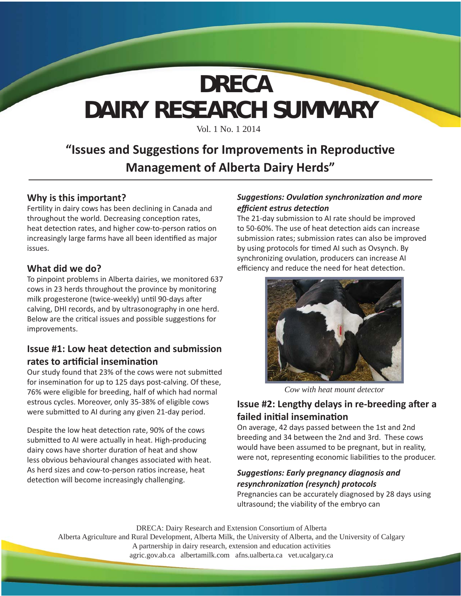# **DAIRY RESEARCH SUMMARY DRECA**

Vol. 1 No. 1 2014

### **"Issues and Suggesti ons for Improvements in Reproducti ve Management of Alberta Dairy Herds"**

#### **Why is this important?**

Fertility in dairy cows has been declining in Canada and throughout the world. Decreasing conception rates, heat detection rates, and higher cow-to-person ratios on increasingly large farms have all been identified as major issues.

#### **What did we do?**

To pinpoint problems in Alberta dairies, we monitored 637 cows in 23 herds throughout the province by monitoring milk progesterone (twice-weekly) until 90-days after calving, DHI records, and by ultrasonography in one herd. Below are the critical issues and possible suggestions for improvements.

#### **Issue #1: Low heat detection and submission rates to artificial insemination**

Our study found that 23% of the cows were not submitted for insemination for up to 125 days post-calving. Of these, 76% were eligible for breeding, half of which had normal estrous cycles. Moreover, only 35-38% of eligible cows were submitted to AI during any given 21-day period.

Despite the low heat detection rate, 90% of the cows submitted to AI were actually in heat. High-producing dairy cows have shorter duration of heat and show less obvious behavioural changes associated with heat. As herd sizes and cow-to-person ratios increase, heat detection will become increasingly challenging.

#### *SuggesƟ ons: OvulaƟ on synchronizaƟ on and more effi cient estrus detecƟ on*

The 21-day submission to AI rate should be improved to 50-60%. The use of heat detection aids can increase submission rates; submission rates can also be improved by using protocols for timed AI such as Ovsynch. By synchronizing ovulation, producers can increase AI efficiency and reduce the need for heat detection.



*Cow with heat mount detector*

#### **Issue #2: Lengthy delays in re-breeding after a failed initi al inseminati on**

On average, 42 days passed between the 1st and 2nd breeding and 34 between the 2nd and 3rd. These cows would have been assumed to be pregnant, but in reality, were not, representing economic liabilities to the producer.

#### *SuggesƟ ons: Early pregnancy diagnosis and resynchronizaƟ on (resynch) protocols*

Pregnancies can be accurately diagnosed by 28 days using ultrasound; the viability of the embryo can

DRECA: Dairy Research and Extension Consortium of Alberta

Alberta Agriculture and Rural Development, Alberta Milk, the University of Alberta, and the University of Calgary A partnership in dairy research, extension and education activities

agric.gov.ab.ca albertamilk.com afns.ualberta.ca vet.ucalgary.ca